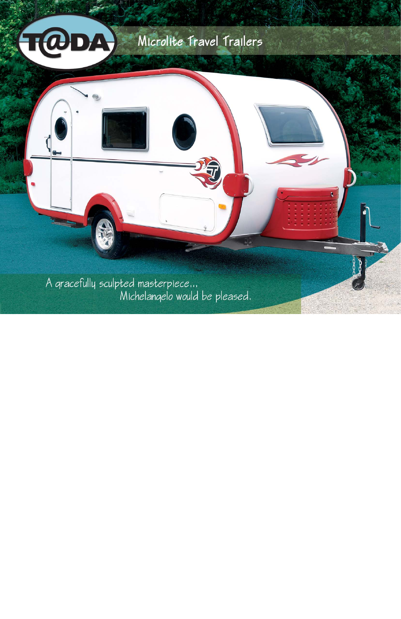# Microlite Travel Trailers y,

A gracefully sculpted masterpiece...<br>Michelangelo would be pleased.

 $\mathfrak{H}$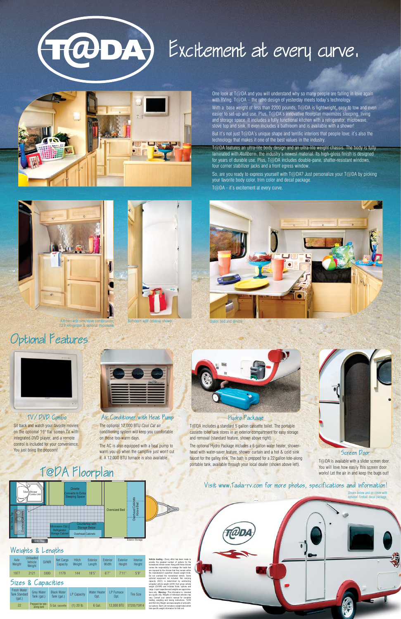# (TODA) Excitement at every curve.



One look at T@DA and you will understand why so many people are falling in love again with RVing. T@DA – the retro design of yesterday meets today's technology.

With a base weight of less than 2200 pounds, T@DA is lightweight, easy to tow and even easier to set-up and use. Plus, T@DA's innovative floorplan maximizes sleeping, living and storage space. It includes a fully functional kitchen with a refrigerator, microwave, stove top and sink. It even includes a bathroom and is available with a shower!

But it's not just T@DA's unique shape and terrific interiors that people love; it's also the technology that makes it one of the best values in the industry.

T@DA features an ultra-lite body design and an ultra-lite weight chassis. The body is fully laminated with *Alufiber®*, the industry's newest material. Its high-gloss finish is designed for years of durable use. Plus, T@DA includes double-pane, shatter-resistant windows, four corner stabilizer jacks and a front egress window.

So, are you ready to express yourself with T@DA? Just personalize your T@DA by picking your favorite body color, trim color and decal package. T@DA - it's excitement at every curve.





Whicle loading - Every effort has been made to<br>provide the greatest number of options for the<br>recreational vehicle cover. Along with these choices<br>comes the responsibility to manage the loads that<br>are imposed by the choice optional equipment not included. Net carrying<br>capacity (NCC) is determined by subtracting<br>unloaded vehicle weight (UVW) from gross vehicle<br>weight (GVWR) and includes fluids, options and<br>weight (GVWR) and includes fluids, o out options. Each unit includes a weight label which lists specific weight information for that unit.

The AC is also equipped with a heat pump to warm you up when the campfire just won't cut



it. A 12,000 BTU furnace is also available.

Sit back and watch your favorite movies on the optional 15" flat screen TV with integrated DVD player, and a remote control is included for your convenience.



| Axle<br>Weight | <b>Unloaded</b><br>Vehicle<br>Weight | <b>GVWR</b> | Net Cargo<br>Capacity | Hitch<br>Weiaht | Exterior<br>Lenath | Exterior<br>Width | Exterior<br>Height | Interior<br>Height |
|----------------|--------------------------------------|-------------|-----------------------|-----------------|--------------------|-------------------|--------------------|--------------------|
| 1977           | 2121                                 | 3300        | 1179                  | 144             | 18'5''             | 6'7''             | 7'11"              | 5'9''              |

T@DA is available with a slider screen door. You will love how easily this screen door works! Let the air in and keep the bugs out!

#### **Dinette** Toilet *//*Shower<br>Combo Unit /Shower erts to Ex Sleeping Space Overhead Cabinets Cabin<br>Bed Above Bed Oversized Bed jerhead<br>: Above Overhead Cabinets Sink / Stove Top Countertop with Microwave (Opt.) Storage Below **Refrigerator** Overhead:Cabin Storage Cabinet **Exterior Storage Exterior Storage**

T@DA includes a standard 5 gallon cassette toilet. The portable cassette toilet tank stores in an exterior compartment for easy storage and removal (standard feature, shown above right).

You just bring the popcorn! warm you up when the campfire just won't cut head with water-saver feature, shower curtain and a hot & cold sink Screen Door The optional Hydro Package includes a 6 gallon water heater, shower-



faucet for the galley sink. The bath is prepped for a 22 gallon tote-along portable tank, available through your local dealer (shown above left).

taD

# T@DA Floorplan

### Air Conditioner with Heat Pump

The optional 12,000 BTU *Cool Cat* air conditioning system will keep you comfortable on those too-warm days.

## TV/DVD Combo

## Optional Features



| <b>Fresh Water</b><br><b>Tank Standard</b><br>(aal.) | <b>Grev Water</b><br>Tank (gal.) | <b>Black Water</b><br>Tank (gal.) | <b>LP Capacity</b> | <b>Water Heater</b><br>Opt. | LP Furnace<br>Opt. | <b>Tire Size</b> |
|------------------------------------------------------|----------------------------------|-----------------------------------|--------------------|-----------------------------|--------------------|------------------|
| 22                                                   | Prepped for tote-<br>along tank  | 5 Gal. cassette                   | $(1)$ 20 lb.       | 6 Gal.                      | 12,000 BTU         | ST205/75R14      |

#### Weights & Lengths

#### Sizes & Capacities

#### Hydro Package



12 V refrigerator & optional microwave

#### Visit www.Tada−rv.com for more photos, specifications and information!

 $\bullet$ 

Shown below and on cover with optional Fireball decal package.